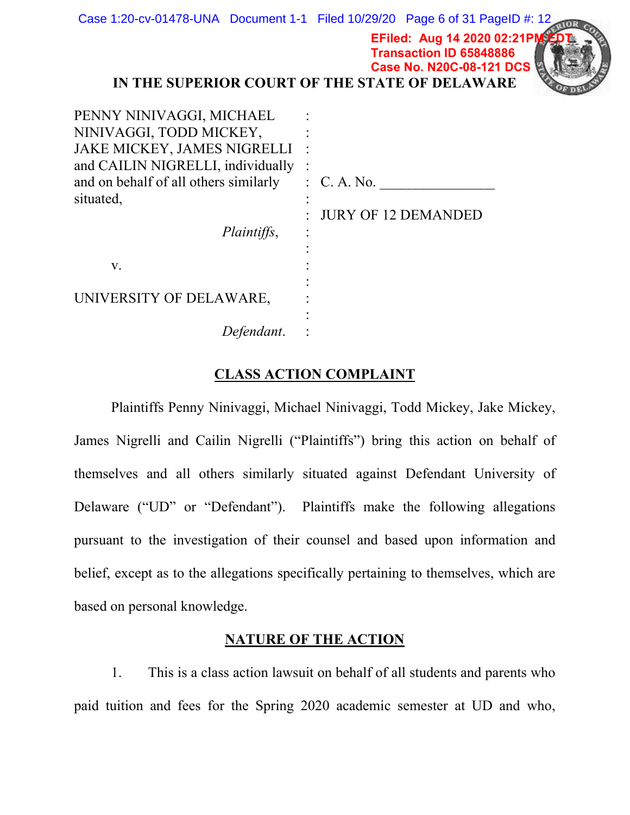|                                                                                                                                                                                                | Case 1:20-cv-01478-UNA Document 1-1 Filed 10/29/20 Page 6 of 31 PageID #: 12<br>EFiled: Aug 14 2020 02:21PM EDT<br><b>Transaction ID 65848886</b><br><b>Case No. N20C-08-121 DCS</b><br>IN THE SUPERIOR COURT OF THE STATE OF DELAWARE |
|------------------------------------------------------------------------------------------------------------------------------------------------------------------------------------------------|----------------------------------------------------------------------------------------------------------------------------------------------------------------------------------------------------------------------------------------|
| PENNY NINIVAGGI, MICHAEL<br>NINIVAGGI, TODD MICKEY,<br>JAKE MICKEY, JAMES NIGRELLI :<br>and CAILIN NIGRELLI, individually<br>and on behalf of all others similarly<br>situated,<br>Plaintiffs, | $\therefore$ C. A. No.<br><b>JURY OF 12 DEMANDED</b>                                                                                                                                                                                   |
| V.                                                                                                                                                                                             |                                                                                                                                                                                                                                        |
| UNIVERSITY OF DELAWARE,                                                                                                                                                                        |                                                                                                                                                                                                                                        |
| Defendant.                                                                                                                                                                                     |                                                                                                                                                                                                                                        |

## **CLASS ACTION COMPLAINT**

Plaintiffs Penny Ninivaggi, Michael Ninivaggi, Todd Mickey, Jake Mickey, James Nigrelli and Cailin Nigrelli ("Plaintiffs") bring this action on behalf of themselves and all others similarly situated against Defendant University of Delaware ("UD" or "Defendant"). Plaintiffs make the following allegations pursuant to the investigation of their counsel and based upon information and belief, except as to the allegations specifically pertaining to themselves, which are based on personal knowledge.

#### **NATURE OF THE ACTION**

1. This is a class action lawsuit on behalf of all students and parents who paid tuition and fees for the Spring 2020 academic semester at UD and who,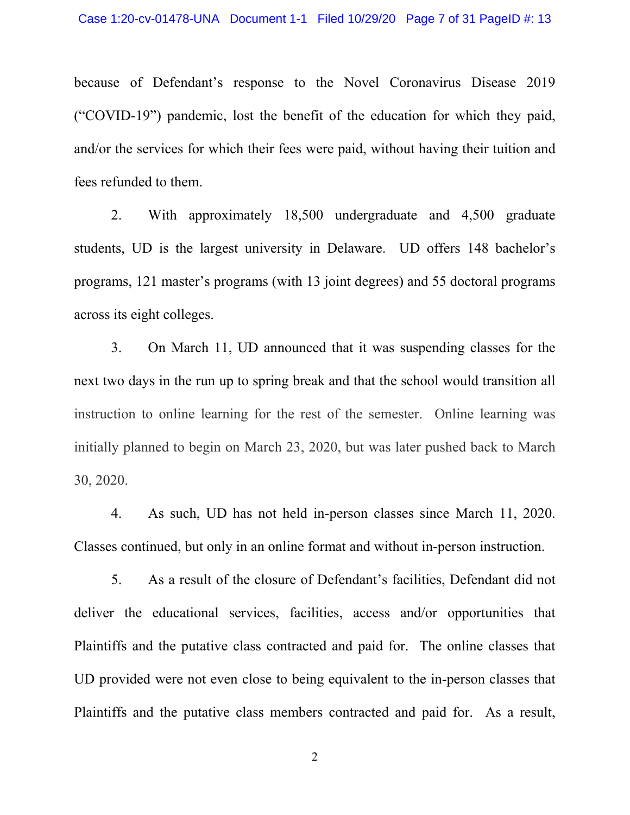because of Defendant's response to the Novel Coronavirus Disease 2019 ("COVID-19") pandemic, lost the benefit of the education for which they paid, and/or the services for which their fees were paid, without having their tuition and fees refunded to them.

With approximately 18,500 undergraduate and 4,500 graduate 2. students, UD is the largest university in Delaware. UD offers 148 bachelor's programs, 121 master's programs (with 13 joint degrees) and 55 doctoral programs across its eight colleges.

On March 11, UD announced that it was suspending classes for the  $3.$ next two days in the run up to spring break and that the school would transition all instruction to online learning for the rest of the semester. Online learning was initially planned to begin on March 23, 2020, but was later pushed back to March 30, 2020.

4. As such, UD has not held in-person classes since March 11, 2020. Classes continued, but only in an online format and without in-person instruction.

5. As a result of the closure of Defendant's facilities, Defendant did not deliver the educational services, facilities, access and/or opportunities that Plaintiffs and the putative class contracted and paid for. The online classes that UD provided were not even close to being equivalent to the in-person classes that Plaintiffs and the putative class members contracted and paid for. As a result,

 $\overline{2}$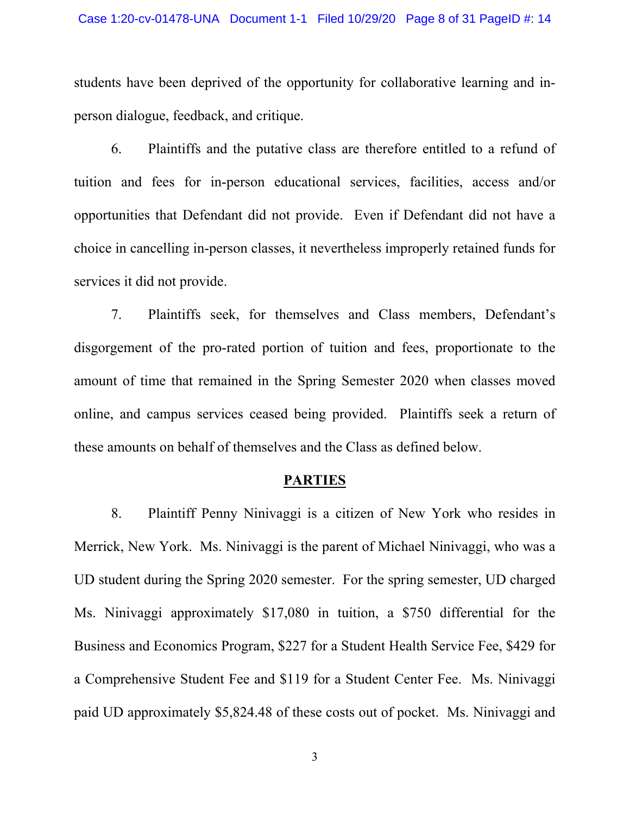students have been deprived of the opportunity for collaborative learning and inperson dialogue, feedback, and critique.

Plaintiffs and the putative class are therefore entitled to a refund of 6. tuition and fees for in-person educational services, facilities, access and/or opportunities that Defendant did not provide. Even if Defendant did not have a choice in cancelling in-person classes, it nevertheless improperly retained funds for services it did not provide.

Plaintiffs seek, for themselves and Class members, Defendant's 7. disgorgement of the pro-rated portion of tuition and fees, proportionate to the amount of time that remained in the Spring Semester 2020 when classes moved online, and campus services ceased being provided. Plaintiffs seek a return of these amounts on behalf of themselves and the Class as defined below.

#### **PARTIES**

Plaintiff Penny Ninivaggi is a citizen of New York who resides in 8. Merrick, New York. Ms. Ninivaggi is the parent of Michael Ninivaggi, who was a UD student during the Spring 2020 semester. For the spring semester, UD charged Ms. Ninivaggi approximately \$17,080 in tuition, a \$750 differential for the Business and Economics Program, \$227 for a Student Health Service Fee, \$429 for a Comprehensive Student Fee and \$119 for a Student Center Fee. Ms. Ninivaggi paid UD approximately \$5,824.48 of these costs out of pocket. Ms. Ninivaggi and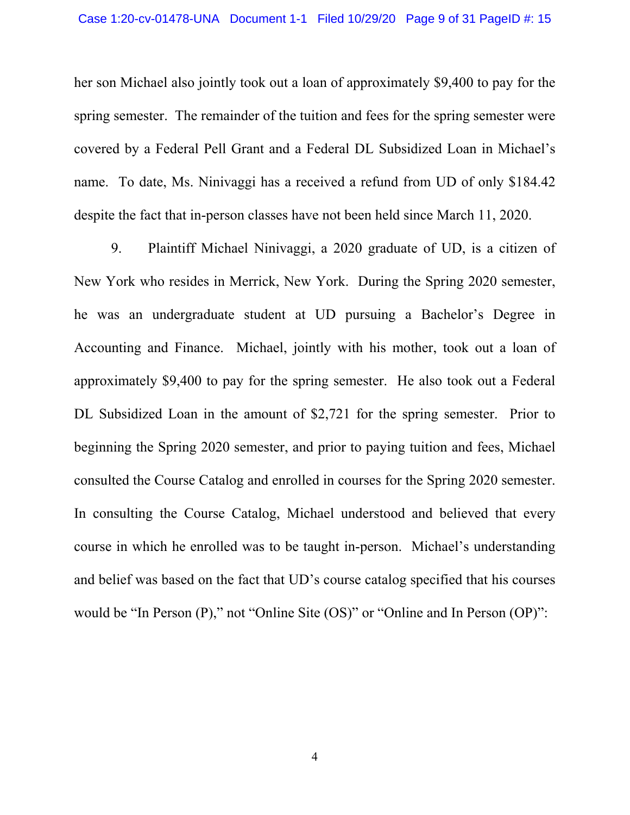her son Michael also jointly took out a loan of approximately \$9,400 to pay for the spring semester. The remainder of the tuition and fees for the spring semester were covered by a Federal Pell Grant and a Federal DL Subsidized Loan in Michael's name. To date, Ms. Ninivaggi has a received a refund from UD of only \$184.42 despite the fact that in-person classes have not been held since March 11, 2020.

9. Plaintiff Michael Ninivaggi, a 2020 graduate of UD, is a citizen of New York who resides in Merrick, New York. During the Spring 2020 semester, he was an undergraduate student at UD pursuing a Bachelor's Degree in Accounting and Finance. Michael, jointly with his mother, took out a loan of approximately \$9,400 to pay for the spring semester. He also took out a Federal DL Subsidized Loan in the amount of \$2,721 for the spring semester. Prior to beginning the Spring 2020 semester, and prior to paying tuition and fees, Michael consulted the Course Catalog and enrolled in courses for the Spring 2020 semester. In consulting the Course Catalog, Michael understood and believed that every course in which he enrolled was to be taught in-person. Michael's understanding and belief was based on the fact that UD's course catalog specified that his courses would be "In Person (P)," not "Online Site (OS)" or "Online and In Person (OP)":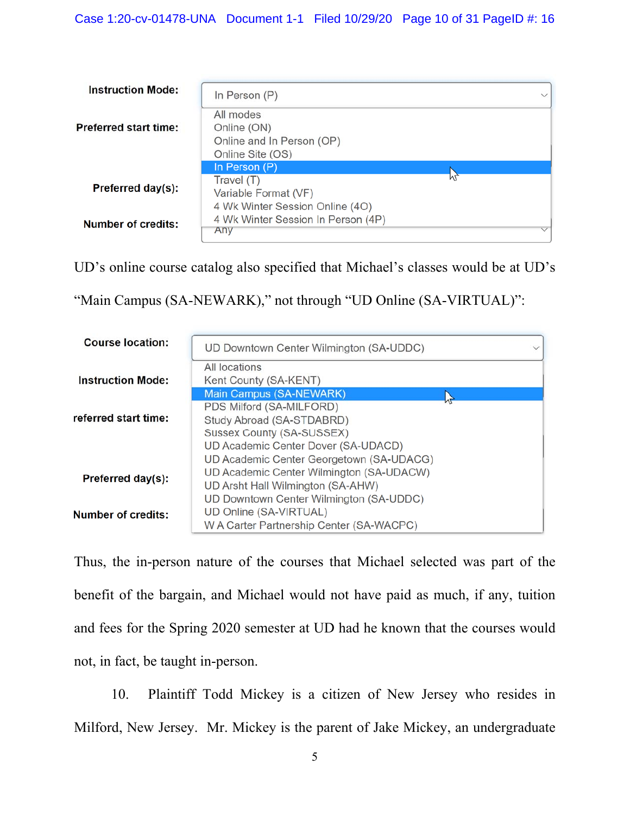| <b>Instruction Mode:</b>     | In Person $(P)$                                                              | $\checkmark$ |
|------------------------------|------------------------------------------------------------------------------|--------------|
| <b>Preferred start time:</b> | All modes<br>Online (ON)<br>Online and In Person (OP)<br>Online Site (OS)    |              |
|                              | In Person (P)                                                                |              |
| Preferred day(s):            | Travel (T)<br>Variable Format (VF)                                           |              |
| <b>Number of credits:</b>    | 4 Wk Winter Session Online (4O)<br>4 Wk Winter Session In Person (4P)<br>Any |              |

UD's online course catalog also specified that Michael's classes would be at UD's

"Main Campus (SA-NEWARK)," not through "UD Online (SA-VIRTUAL)":

| <b>Course location:</b>  | UD Downtown Center Wilmington (SA-UDDC)  |  |
|--------------------------|------------------------------------------|--|
|                          | All locations                            |  |
| <b>Instruction Mode:</b> | Kent County (SA-KENT)                    |  |
|                          | <b>Main Campus (SA-NEWARK)</b>           |  |
|                          | PDS Milford (SA-MILFORD)                 |  |
| referred start time:     | Study Abroad (SA-STDABRD)                |  |
|                          | Sussex County (SA-SUSSEX)                |  |
|                          | UD Academic Center Dover (SA-UDACD)      |  |
|                          | UD Academic Center Georgetown (SA-UDACG) |  |
|                          | UD Academic Center Wilmington (SA-UDACW) |  |
| Preferred day(s):        | UD Arsht Hall Wilmington (SA-AHW)        |  |
|                          | UD Downtown Center Wilmington (SA-UDDC)  |  |
| Number of credits:       | UD Online (SA-VIRTUAL)                   |  |
|                          | W A Carter Partnership Center (SA-WACPC) |  |

Thus, the in-person nature of the courses that Michael selected was part of the benefit of the bargain, and Michael would not have paid as much, if any, tuition and fees for the Spring 2020 semester at UD had he known that the courses would not, in fact, be taught in-person.

Plaintiff Todd Mickey is a citizen of New Jersey who resides in 10. Milford, New Jersey. Mr. Mickey is the parent of Jake Mickey, an undergraduate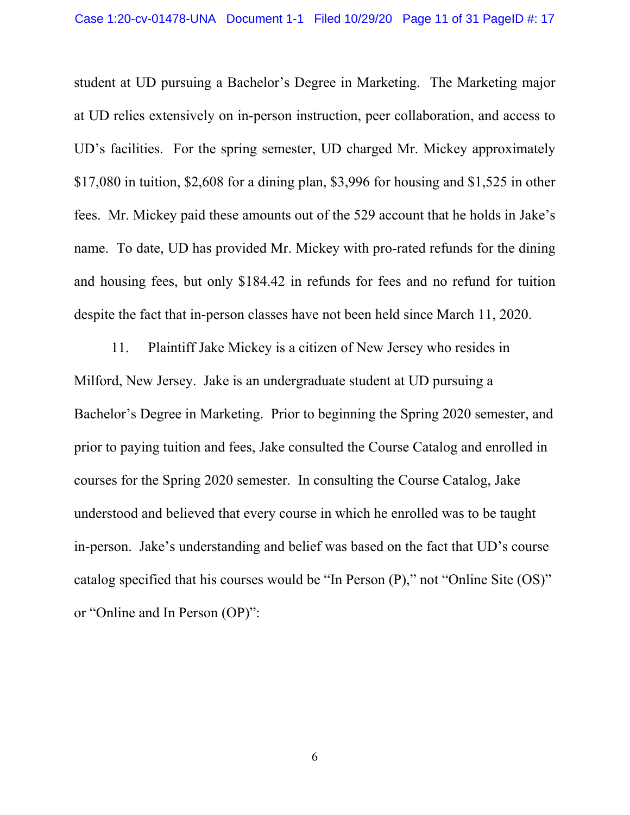student at UD pursuing a Bachelor's Degree in Marketing. The Marketing major at UD relies extensively on in-person instruction, peer collaboration, and access to UD's facilities. For the spring semester, UD charged Mr. Mickey approximately \$17,080 in tuition, \$2,608 for a dining plan, \$3,996 for housing and \$1,525 in other fees. Mr. Mickey paid these amounts out of the 529 account that he holds in Jake's name. To date, UD has provided Mr. Mickey with pro-rated refunds for the dining and housing fees, but only \$184.42 in refunds for fees and no refund for tuition despite the fact that in-person classes have not been held since March 11, 2020.

11. Plaintiff Jake Mickey is a citizen of New Jersey who resides in Milford, New Jersey. Jake is an undergraduate student at UD pursuing a Bachelor's Degree in Marketing. Prior to beginning the Spring 2020 semester, and prior to paying tuition and fees, Jake consulted the Course Catalog and enrolled in courses for the Spring 2020 semester. In consulting the Course Catalog, Jake understood and believed that every course in which he enrolled was to be taught in-person. Jake's understanding and belief was based on the fact that UD's course catalog specified that his courses would be "In Person (P)," not "Online Site (OS)" or "Online and In Person (OP)":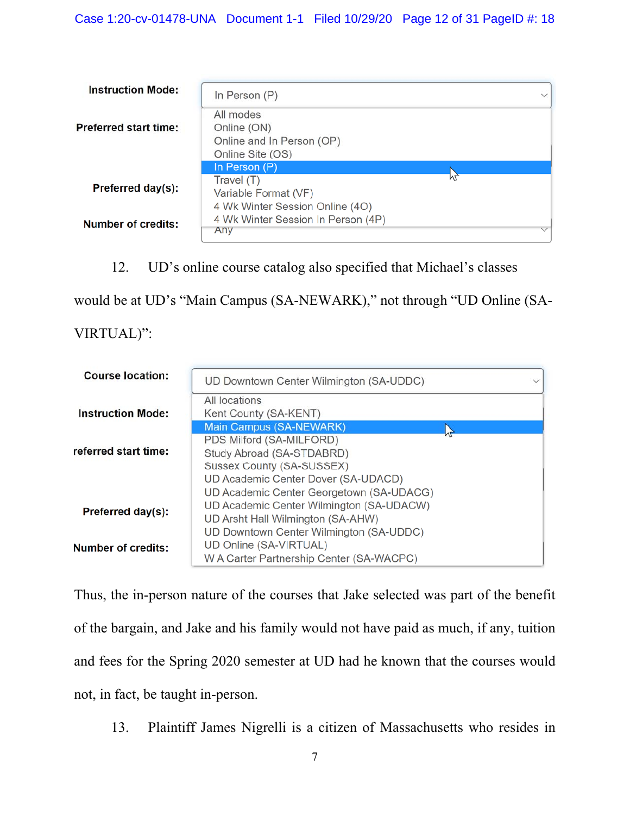| <b>Instruction Mode:</b>     | In Person $(P)$                                                              | $\checkmark$ |
|------------------------------|------------------------------------------------------------------------------|--------------|
| <b>Preferred start time:</b> | All modes<br>Online (ON)<br>Online and In Person (OP)<br>Online Site (OS)    |              |
|                              | In Person (P)                                                                |              |
| Preferred day(s):            | Travel (T)<br>Variable Format (VF)                                           |              |
| Number of credits:           | 4 Wk Winter Session Online (4O)<br>4 Wk Winter Session In Person (4P)<br>Any |              |

# 12. UD's online course catalog also specified that Michael's classes

would be at UD's "Main Campus (SA-NEWARK)," not through "UD Online (SA-

# VIRTUAL)":

| <b>Course location:</b>   | UD Downtown Center Wilmington (SA-UDDC)                                                                                   |  |
|---------------------------|---------------------------------------------------------------------------------------------------------------------------|--|
| <b>Instruction Mode:</b>  | All locations<br>Kent County (SA-KENT)                                                                                    |  |
|                           | <b>Main Campus (SA-NEWARK)</b>                                                                                            |  |
| referred start time:      | PDS Milford (SA-MILFORD)<br>Study Abroad (SA-STDABRD)                                                                     |  |
|                           | Sussex County (SA-SUSSEX)<br>UD Academic Center Dover (SA-UDACD)                                                          |  |
| Preferred day(s):         | UD Academic Center Georgetown (SA-UDACG)<br>UD Academic Center Wilmington (SA-UDACW)<br>UD Arsht Hall Wilmington (SA-AHW) |  |
| <b>Number of credits:</b> | UD Downtown Center Wilmington (SA-UDDC)<br>UD Online (SA-VIRTUAL)<br>W A Carter Partnership Center (SA-WACPC)             |  |

Thus, the in-person nature of the courses that Jake selected was part of the benefit of the bargain, and Jake and his family would not have paid as much, if any, tuition and fees for the Spring 2020 semester at UD had he known that the courses would not, in fact, be taught in-person.

13. Plaintiff James Nigrelli is a citizen of Massachusetts who resides in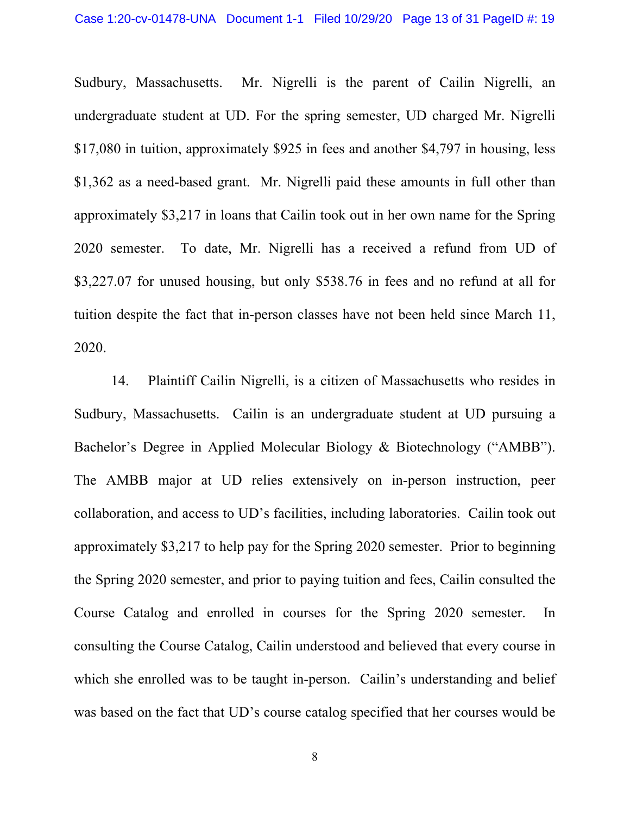Mr. Nigrelli is the parent of Cailin Nigrelli, an Sudbury, Massachusetts. undergraduate student at UD. For the spring semester, UD charged Mr. Nigrelli \$17,080 in tuition, approximately \$925 in fees and another \$4,797 in housing, less \$1,362 as a need-based grant. Mr. Nigrelli paid these amounts in full other than approximately \$3,217 in loans that Cailin took out in her own name for the Spring To date, Mr. Nigrelli has a received a refund from UD of 2020 semester. \$3,227.07 for unused housing, but only \$538.76 in fees and no refund at all for tuition despite the fact that in-person classes have not been held since March 11, 2020.

Plaintiff Cailin Nigrelli, is a citizen of Massachusetts who resides in 14. Sudbury, Massachusetts. Cailin is an undergraduate student at UD pursuing a Bachelor's Degree in Applied Molecular Biology & Biotechnology ("AMBB"). The AMBB major at UD relies extensively on in-person instruction, peer collaboration, and access to UD's facilities, including laboratories. Cailin took out approximately \$3,217 to help pay for the Spring 2020 semester. Prior to beginning the Spring 2020 semester, and prior to paying tuition and fees, Cailin consulted the Course Catalog and enrolled in courses for the Spring 2020 semester.  $In$ consulting the Course Catalog, Cailin understood and believed that every course in which she enrolled was to be taught in-person. Cailin's understanding and belief was based on the fact that UD's course catalog specified that her courses would be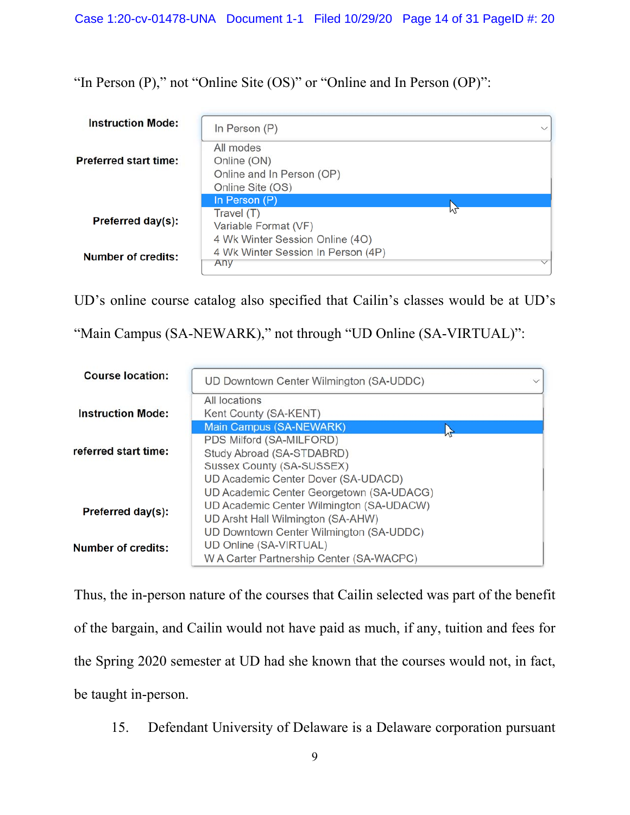"In Person  $(P)$ ," not "Online Site  $(OS)$ " or "Online and In Person  $(OP)$ ":

| <b>Instruction Mode:</b>     | In Person (P)                                                                | $\checkmark$ |
|------------------------------|------------------------------------------------------------------------------|--------------|
| <b>Preferred start time:</b> | All modes<br>Online (ON)<br>Online and In Person (OP)<br>Online Site (OS)    |              |
|                              | In Person (P)                                                                |              |
| Preferred day(s):            | Travel (T)<br>Variable Format (VF)                                           |              |
| Number of credits:           | 4 Wk Winter Session Online (4O)<br>4 Wk Winter Session In Person (4P)<br>Any |              |

UD's online course catalog also specified that Cailin's classes would be at UD's

"Main Campus (SA-NEWARK)," not through "UD Online (SA-VIRTUAL)":

| <b>Course location:</b>  | UD Downtown Center Wilmington (SA-UDDC)                                                                                   |  |
|--------------------------|---------------------------------------------------------------------------------------------------------------------------|--|
| <b>Instruction Mode:</b> | All locations<br>Kent County (SA-KENT)                                                                                    |  |
| referred start time:     | Main Campus (SA-NEWARK)<br>PDS Milford (SA-MILFORD)<br>Study Abroad (SA-STDABRD)                                          |  |
|                          | Sussex County (SA-SUSSEX)<br>UD Academic Center Dover (SA-UDACD)                                                          |  |
| Preferred day(s):        | UD Academic Center Georgetown (SA-UDACG)<br>UD Academic Center Wilmington (SA-UDACW)<br>UD Arsht Hall Wilmington (SA-AHW) |  |
| Number of credits:       | UD Downtown Center Wilmington (SA-UDDC)<br>UD Online (SA-VIRTUAL)<br>W A Carter Partnership Center (SA-WACPC)             |  |

Thus, the in-person nature of the courses that Cailin selected was part of the benefit of the bargain, and Cailin would not have paid as much, if any, tuition and fees for the Spring 2020 semester at UD had she known that the courses would not, in fact, be taught in-person.

15. Defendant University of Delaware is a Delaware corporation pursuant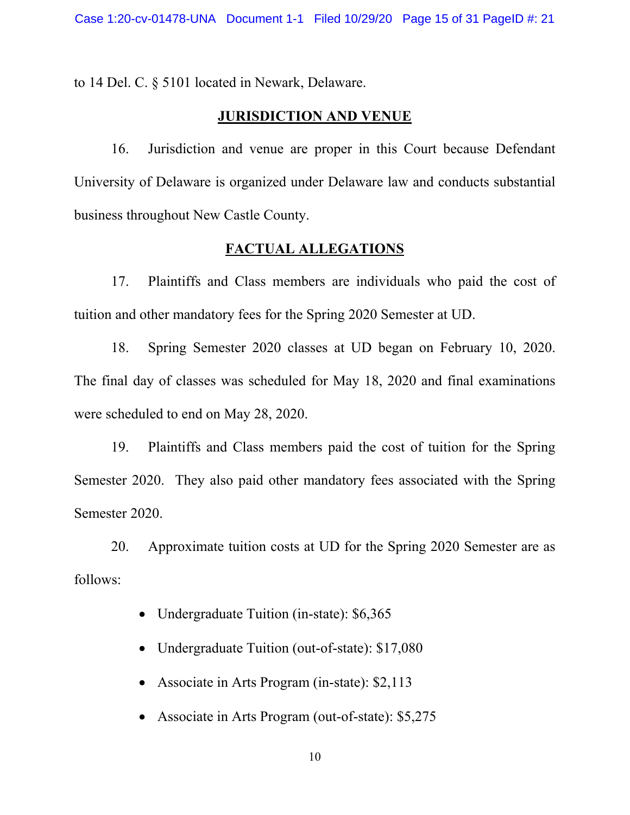to 14 Del. C. § 5101 located in Newark, Delaware.

# **JURISDICTION AND VENUE**

16. Jurisdiction and venue are proper in this Court because Defendant University of Delaware is organized under Delaware law and conducts substantial business throughout New Castle County.

#### **FACTUAL ALLEGATIONS**

Plaintiffs and Class members are individuals who paid the cost of 17. tuition and other mandatory fees for the Spring 2020 Semester at UD.

Spring Semester 2020 classes at UD began on February 10, 2020. 18. The final day of classes was scheduled for May 18, 2020 and final examinations were scheduled to end on May 28, 2020.

19. Plaintiffs and Class members paid the cost of tuition for the Spring Semester 2020. They also paid other mandatory fees associated with the Spring Semester 2020.

Approximate tuition costs at UD for the Spring 2020 Semester are as 20. follows:

- Undergraduate Tuition (in-state): \$6,365  $\bullet$
- Undergraduate Tuition (out-of-state): \$17,080  $\bullet$
- Associate in Arts Program (in-state): \$2,113
- Associate in Arts Program (out-of-state): \$5,275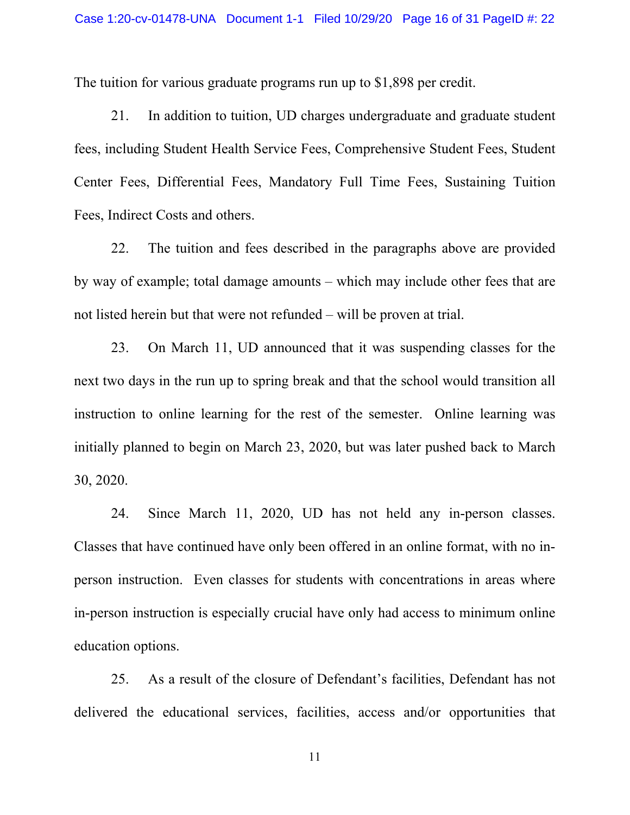The tuition for various graduate programs run up to \$1,898 per credit.

In addition to tuition, UD charges undergraduate and graduate student 21. fees, including Student Health Service Fees, Comprehensive Student Fees, Student Center Fees, Differential Fees, Mandatory Full Time Fees, Sustaining Tuition Fees, Indirect Costs and others.

22. The tuition and fees described in the paragraphs above are provided by way of example; total damage amounts – which may include other fees that are not listed herein but that were not refunded – will be proven at trial.

On March 11, UD announced that it was suspending classes for the 23. next two days in the run up to spring break and that the school would transition all instruction to online learning for the rest of the semester. Online learning was initially planned to begin on March 23, 2020, but was later pushed back to March 30, 2020.

Since March 11, 2020, UD has not held any in-person classes.  $24.$ Classes that have continued have only been offered in an online format, with no inperson instruction. Even classes for students with concentrations in areas where in-person instruction is especially crucial have only had access to minimum online education options.

25. As a result of the closure of Defendant's facilities, Defendant has not delivered the educational services, facilities, access and/or opportunities that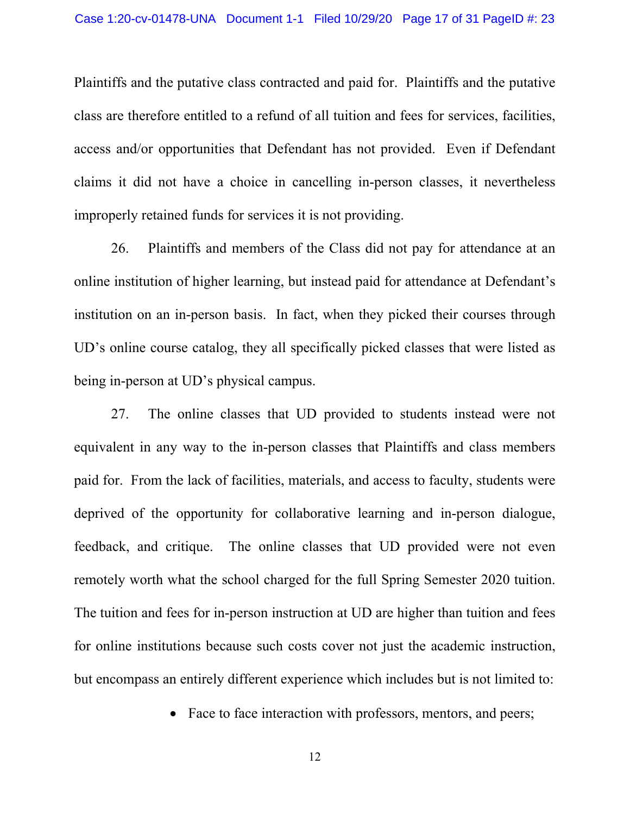Plaintiffs and the putative class contracted and paid for. Plaintiffs and the putative class are therefore entitled to a refund of all tuition and fees for services, facilities, access and/or opportunities that Defendant has not provided. Even if Defendant claims it did not have a choice in cancelling in-person classes, it nevertheless improperly retained funds for services it is not providing.

26. Plaintiffs and members of the Class did not pay for attendance at an online institution of higher learning, but instead paid for attendance at Defendant's institution on an in-person basis. In fact, when they picked their courses through UD's online course catalog, they all specifically picked classes that were listed as being in-person at UD's physical campus.

27. The online classes that UD provided to students instead were not equivalent in any way to the in-person classes that Plaintiffs and class members paid for. From the lack of facilities, materials, and access to faculty, students were deprived of the opportunity for collaborative learning and in-person dialogue, feedback, and critique. The online classes that UD provided were not even remotely worth what the school charged for the full Spring Semester 2020 tuition. The tuition and fees for in-person instruction at UD are higher than tuition and fees for online institutions because such costs cover not just the academic instruction, but encompass an entirely different experience which includes but is not limited to:

• Face to face interaction with professors, mentors, and peers;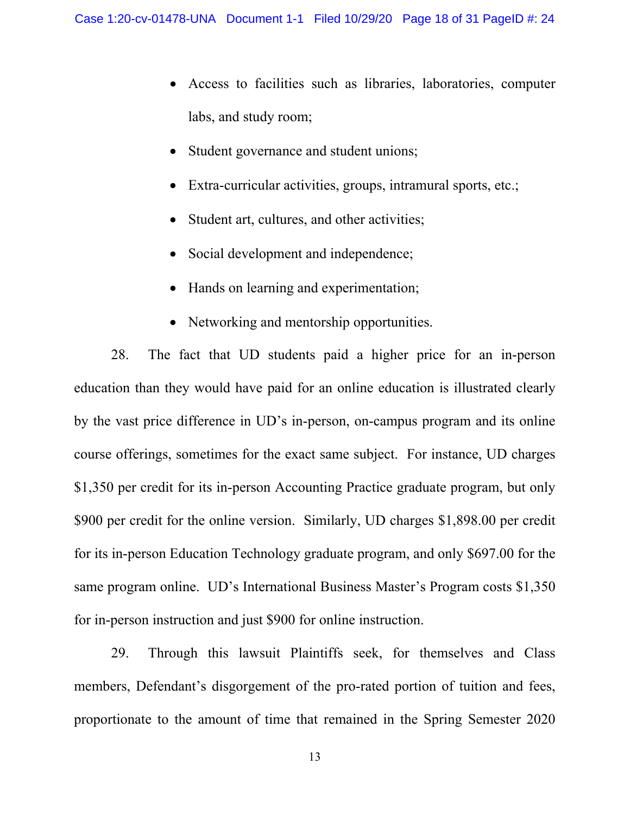- Access to facilities such as libraries, laboratories, computer labs, and study room;
- Student governance and student unions;
- Extra-curricular activities, groups, intramural sports, etc.;  $\bullet$
- Student art, cultures, and other activities;  $\bullet$
- Social development and independence;  $\bullet$
- Hands on learning and experimentation;
- Networking and mentorship opportunities.

The fact that UD students paid a higher price for an in-person 28. education than they would have paid for an online education is illustrated clearly by the vast price difference in UD's in-person, on-campus program and its online course offerings, sometimes for the exact same subject. For instance, UD charges \$1,350 per credit for its in-person Accounting Practice graduate program, but only \$900 per credit for the online version. Similarly, UD charges \$1,898.00 per credit for its in-person Education Technology graduate program, and only \$697.00 for the same program online. UD's International Business Master's Program costs \$1,350 for in-person instruction and just \$900 for online instruction.

Through this lawsuit Plaintiffs seek, for themselves and Class 29. members, Defendant's disgorgement of the pro-rated portion of tuition and fees, proportionate to the amount of time that remained in the Spring Semester 2020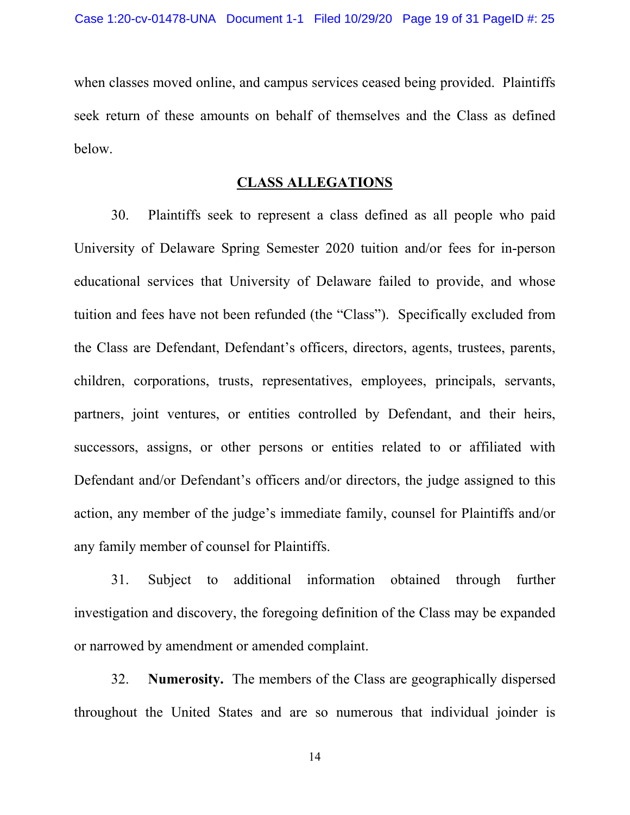when classes moved online, and campus services ceased being provided. Plaintiffs seek return of these amounts on behalf of themselves and the Class as defined below.

## **CLASS ALLEGATIONS**

30. Plaintiffs seek to represent a class defined as all people who paid University of Delaware Spring Semester 2020 tuition and/or fees for in-person educational services that University of Delaware failed to provide, and whose tuition and fees have not been refunded (the "Class"). Specifically excluded from the Class are Defendant, Defendant's officers, directors, agents, trustees, parents, children, corporations, trusts, representatives, employees, principals, servants, partners, joint ventures, or entities controlled by Defendant, and their heirs, successors, assigns, or other persons or entities related to or affiliated with Defendant and/or Defendant's officers and/or directors, the judge assigned to this action, any member of the judge's immediate family, counsel for Plaintiffs and/or any family member of counsel for Plaintiffs.

31. Subject to additional information obtained through further investigation and discovery, the foregoing definition of the Class may be expanded or narrowed by amendment or amended complaint.

32. **Numerosity.** The members of the Class are geographically dispersed throughout the United States and are so numerous that individual joinder is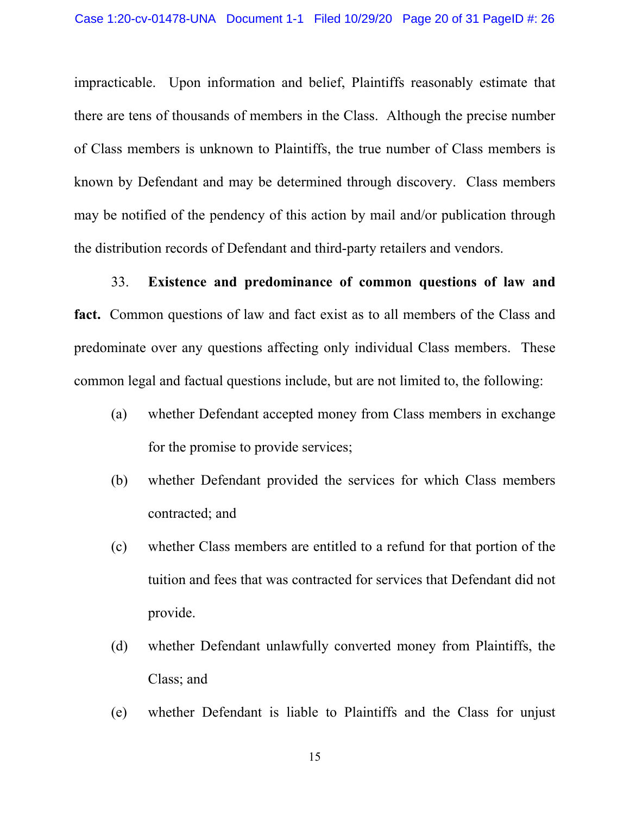impracticable. Upon information and belief, Plaintiffs reasonably estimate that there are tens of thousands of members in the Class. Although the precise number of Class members is unknown to Plaintiffs, the true number of Class members is known by Defendant and may be determined through discovery. Class members may be notified of the pendency of this action by mail and/or publication through the distribution records of Defendant and third-party retailers and vendors.

Existence and predominance of common questions of law and 33. fact. Common questions of law and fact exist as to all members of the Class and predominate over any questions affecting only individual Class members. These common legal and factual questions include, but are not limited to, the following:

- $(a)$ whether Defendant accepted money from Class members in exchange for the promise to provide services;
- whether Defendant provided the services for which Class members  $(b)$ contracted; and
- whether Class members are entitled to a refund for that portion of the  $(c)$ tuition and fees that was contracted for services that Defendant did not provide.
- whether Defendant unlawfully converted money from Plaintiffs, the  $(d)$ Class; and
- $(e)$ whether Defendant is liable to Plaintiffs and the Class for unjust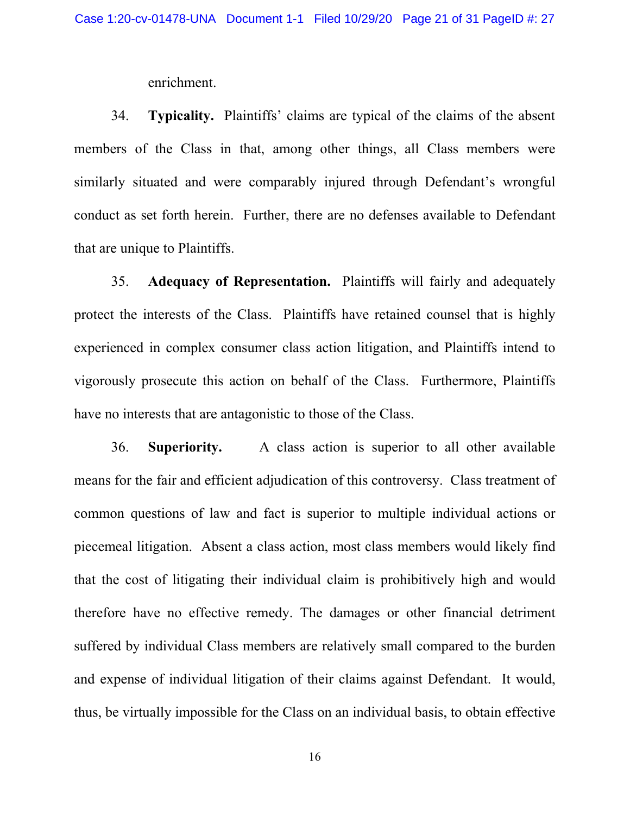enrichment.

Typicality. Plaintiffs' claims are typical of the claims of the absent 34. members of the Class in that, among other things, all Class members were similarly situated and were comparably injured through Defendant's wrongful conduct as set forth herein. Further, there are no defenses available to Defendant that are unique to Plaintiffs.

35. **Adequacy of Representation.** Plaintiffs will fairly and adequately protect the interests of the Class. Plaintiffs have retained counsel that is highly experienced in complex consumer class action litigation, and Plaintiffs intend to vigorously prosecute this action on behalf of the Class. Furthermore, Plaintiffs have no interests that are antagonistic to those of the Class.

A class action is superior to all other available 36. Superiority. means for the fair and efficient adjudication of this controversy. Class treatment of common questions of law and fact is superior to multiple individual actions or piecemeal litigation. Absent a class action, most class members would likely find that the cost of litigating their individual claim is prohibitively high and would therefore have no effective remedy. The damages or other financial detriment suffered by individual Class members are relatively small compared to the burden and expense of individual litigation of their claims against Defendant. It would, thus, be virtually impossible for the Class on an individual basis, to obtain effective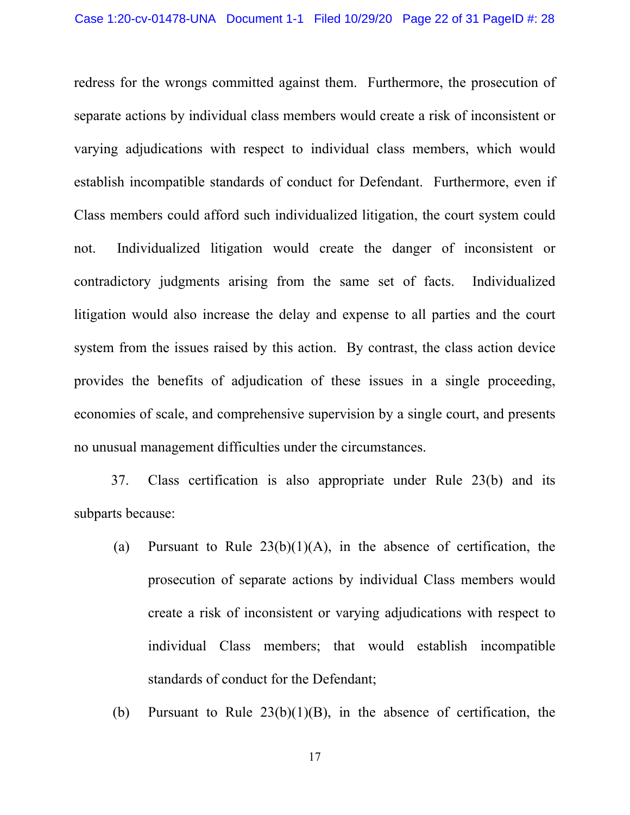redress for the wrongs committed against them. Furthermore, the prosecution of separate actions by individual class members would create a risk of inconsistent or varying adjudications with respect to individual class members, which would establish incompatible standards of conduct for Defendant. Furthermore, even if Class members could afford such individualized litigation, the court system could Individualized litigation would create the danger of inconsistent or not. contradictory judgments arising from the same set of facts. Individualized litigation would also increase the delay and expense to all parties and the court system from the issues raised by this action. By contrast, the class action device provides the benefits of adjudication of these issues in a single proceeding, economies of scale, and comprehensive supervision by a single court, and presents no unusual management difficulties under the circumstances.

Class certification is also appropriate under Rule 23(b) and its 37. subparts because:

- Pursuant to Rule  $23(b)(1)(A)$ , in the absence of certification, the (a) prosecution of separate actions by individual Class members would create a risk of inconsistent or varying adjudications with respect to individual Class members; that would establish incompatible standards of conduct for the Defendant;
- Pursuant to Rule  $23(b)(1)(B)$ , in the absence of certification, the (b)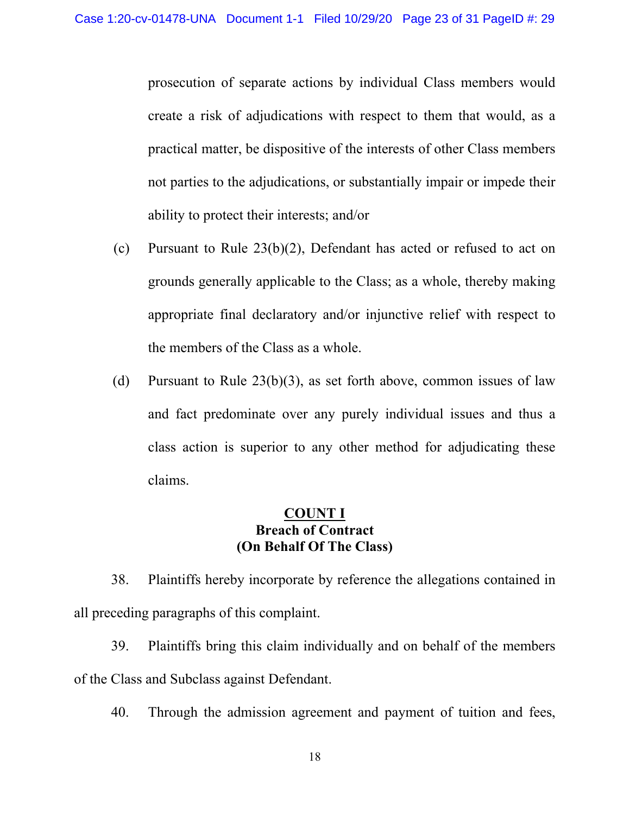prosecution of separate actions by individual Class members would create a risk of adjudications with respect to them that would, as a practical matter, be dispositive of the interests of other Class members not parties to the adjudications, or substantially impair or impede their ability to protect their interests; and/or

- (c) Pursuant to Rule  $23(b)(2)$ , Defendant has acted or refused to act on grounds generally applicable to the Class; as a whole, thereby making appropriate final declaratory and/or injunctive relief with respect to the members of the Class as a whole.
- (d) Pursuant to Rule  $23(b)(3)$ , as set forth above, common issues of law and fact predominate over any purely individual issues and thus a class action is superior to any other method for adjudicating these claims.

#### **&2817, Breach of Contract (On Behalf Of The Class)**

38. Plaintiffs hereby incorporate by reference the allegations contained in all preceding paragraphs of this complaint.

39. Plaintiffs bring this claim individually and on behalf of the members of the Class and Subclass against Defendant.

40. Through the admission agreement and payment of tuition and fees,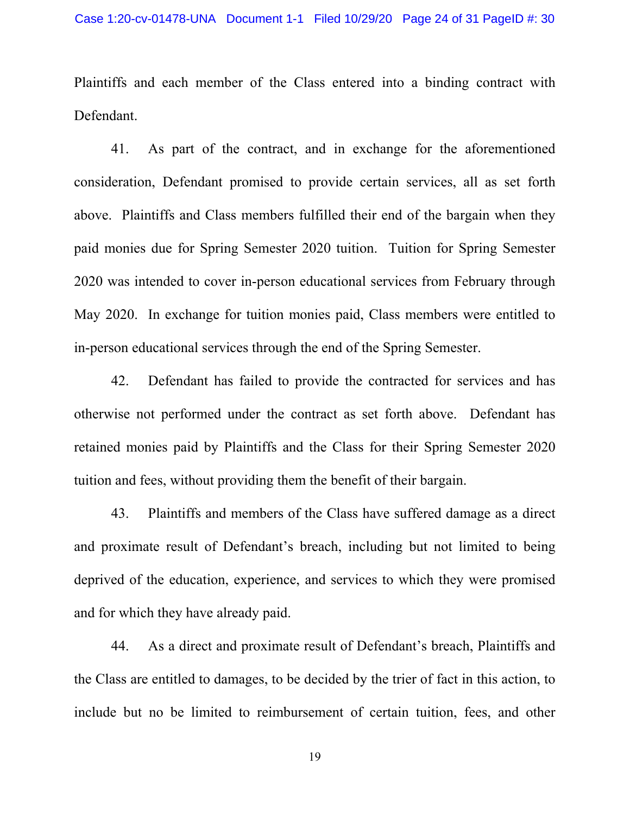Plaintiffs and each member of the Class entered into a binding contract with Defendant.

41. As part of the contract, and in exchange for the aforementioned consideration, Defendant promised to provide certain services, all as set forth above. Plaintiffs and Class members fulfilled their end of the bargain when they paid monies due for Spring Semester 2020 tuition. Tuition for Spring Semester 2020 was intended to cover in-person educational services from February through May 2020. In exchange for tuition monies paid, Class members were entitled to in-person educational services through the end of the Spring Semester.

42. Defendant has failed to provide the contracted for services and has otherwise not performed under the contract as set forth above. Defendant has retained monies paid by Plaintiffs and the Class for their Spring Semester 2020 tuition and fees, without providing them the benefit of their bargain.

43. Plaintiffs and members of the Class have suffered damage as a direct and proximate result of Defendant's breach, including but not limited to being deprived of the education, experience, and services to which they were promised and for which they have already paid.

44. As a direct and proximate result of Defendant's breach, Plaintiffs and the Class are entitled to damages, to be decided by the trier of fact in this action, to include but no be limited to reimbursement of certain tuition, fees, and other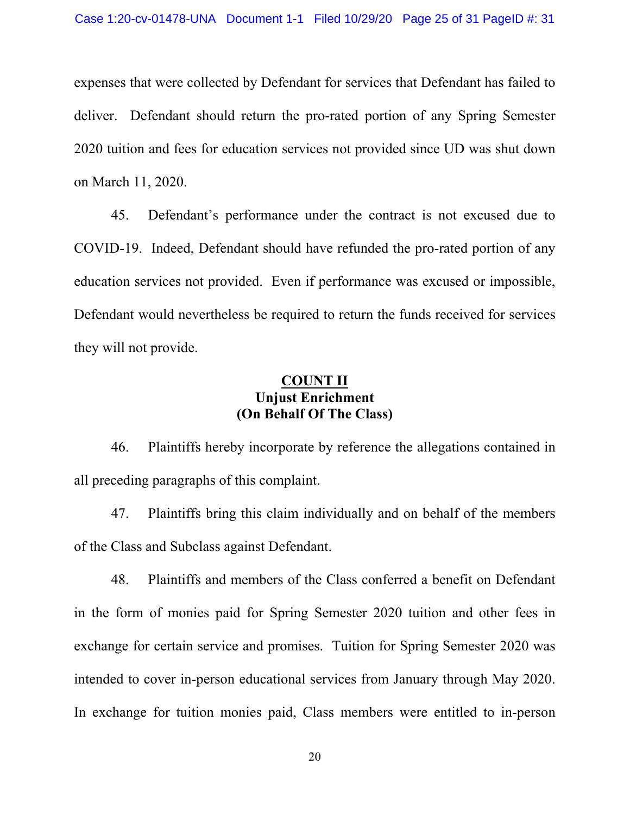expenses that were collected by Defendant for services that Defendant has failed to deliver. Defendant should return the pro-rated portion of any Spring Semester 2020 tuition and fees for education services not provided since UD was shut down on March 11, 2020.

45. Defendant's performance under the contract is not excused due to COVID-19. Indeed, Defendant should have refunded the pro-rated portion of any education services not provided. Even if performance was excused or impossible, Defendant would nevertheless be required to return the funds received for services they will not provide.

## **COUNT II Uniust Enrichment** (On Behalf Of The Class)

Plaintiffs hereby incorporate by reference the allegations contained in 46. all preceding paragraphs of this complaint.

Plaintiffs bring this claim individually and on behalf of the members 47. of the Class and Subclass against Defendant.

48. Plaintiffs and members of the Class conferred a benefit on Defendant in the form of monies paid for Spring Semester 2020 tuition and other fees in exchange for certain service and promises. Tuition for Spring Semester 2020 was intended to cover in-person educational services from January through May 2020. In exchange for tuition monies paid, Class members were entitled to in-person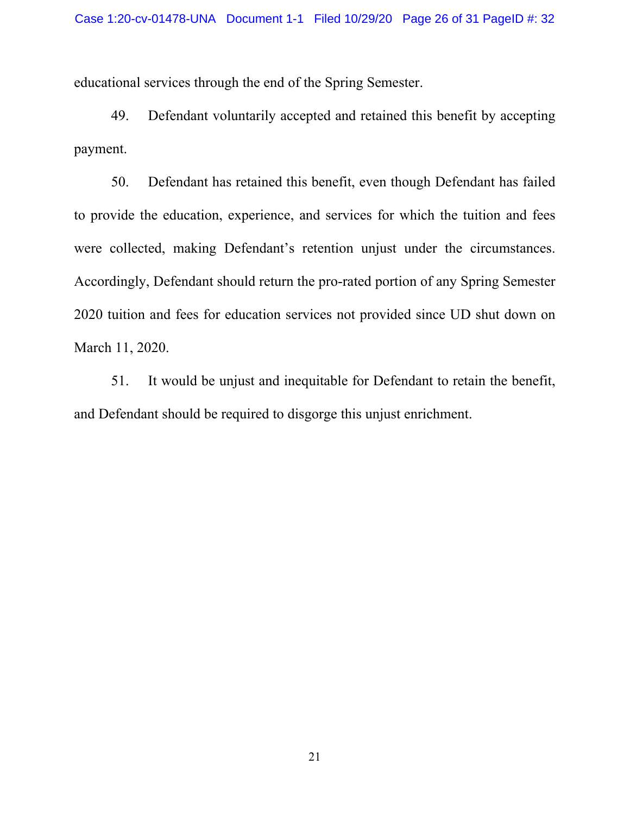educational services through the end of the Spring Semester.

49. Defendant voluntarily accepted and retained this benefit by accepting payment.

50. Defendant has retained this benefit, even though Defendant has failed to provide the education, experience, and services for which the tuition and fees were collected, making Defendant's retention unjust under the circumstances. Accordingly, Defendant should return the pro-rated portion of any Spring Semester 2020 tuition and fees for education services not provided since UD shut down on March 11, 2020.

It would be unjust and inequitable for Defendant to retain the benefit, 51. and Defendant should be required to disgorge this unjust enrichment.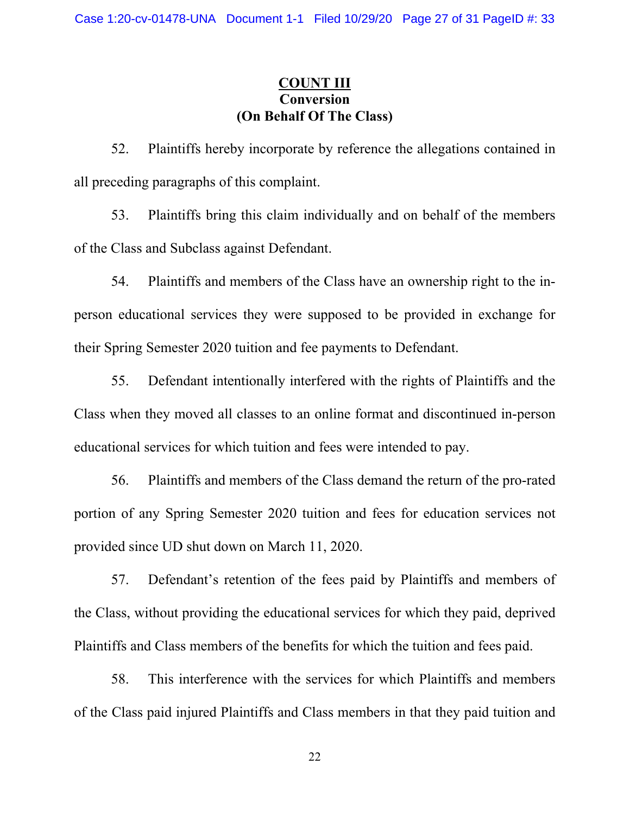# **COUNT III** (On Behalf Of The Class)

Plaintiffs hereby incorporate by reference the allegations contained in 52. all preceding paragraphs of this complaint.

Plaintiffs bring this claim individually and on behalf of the members 53. of the Class and Subclass against Defendant.

Plaintiffs and members of the Class have an ownership right to the in-54. person educational services they were supposed to be provided in exchange for their Spring Semester 2020 tuition and fee payments to Defendant.

55. Defendant intentionally interfered with the rights of Plaintiffs and the Class when they moved all classes to an online format and discontinued in-person educational services for which tuition and fees were intended to pay.

Plaintiffs and members of the Class demand the return of the pro-rated 56. portion of any Spring Semester 2020 tuition and fees for education services not provided since UD shut down on March 11, 2020.

Defendant's retention of the fees paid by Plaintiffs and members of 57. the Class, without providing the educational services for which they paid, deprived Plaintiffs and Class members of the benefits for which the tuition and fees paid.

58. This interference with the services for which Plaintiffs and members of the Class paid injured Plaintiffs and Class members in that they paid tuition and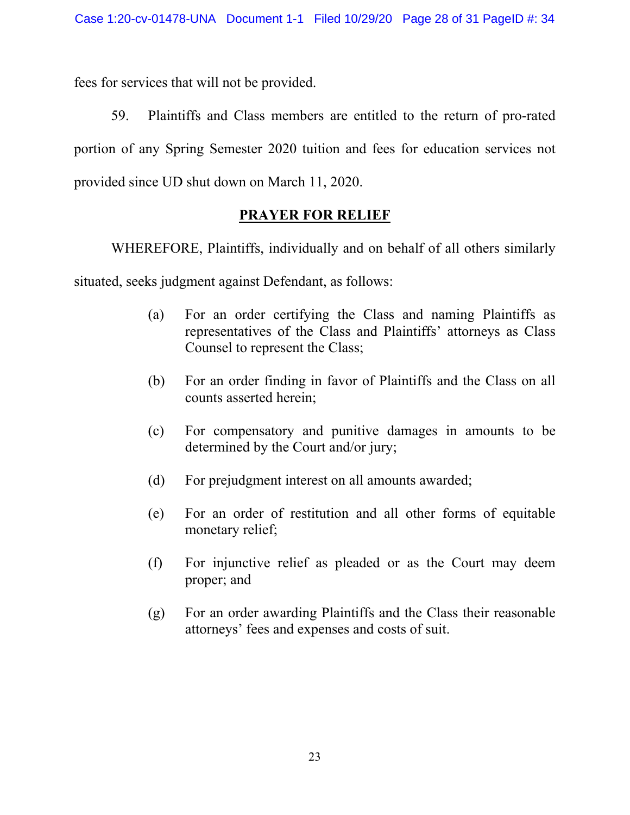fees for services that will not be provided.

59. Plaintiffs and Class members are entitled to the return of pro-rated portion of any Spring Semester 2020 tuition and fees for education services not provided since UD shut down on March 11, 2020.

# **PRAYER FOR RELIEF**

WHEREFORE, Plaintiffs, individually and on behalf of all others similarly

situated, seeks judgment against Defendant, as follows:

- For an order certifying the Class and naming Plaintiffs as (a) representatives of the Class and Plaintiffs' attorneys as Class Counsel to represent the Class;
- For an order finding in favor of Plaintiffs and the Class on all (b) counts asserted herein:
- For compensatory and punitive damages in amounts to be  $(c)$ determined by the Court and/or jury;
- $(d)$ For prejudgment interest on all amounts awarded;
- For an order of restitution and all other forms of equitable  $(e)$ monetary relief;
- For injunctive relief as pleaded or as the Court may deem  $(f)$ proper; and
- For an order awarding Plaintiffs and the Class their reasonable  $(g)$ attorneys' fees and expenses and costs of suit.